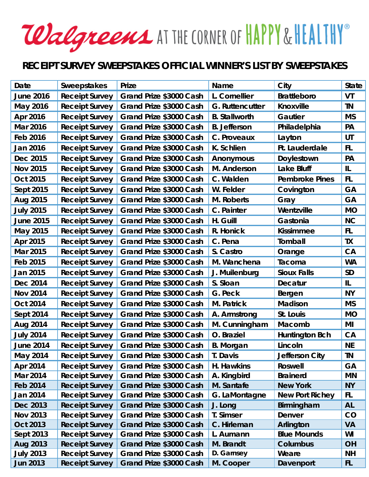## Walgreems AT THE CORNER OF HAPPY & HEALTHY®

## **RECEIPT SURVEY SWEEPSTAKES OFFICIAL WINNER'S LIST BY SWEEPSTAKES**

| Date             | <b>Sweepstakes</b>    | Prize                   | Name                   | City                   | State     |
|------------------|-----------------------|-------------------------|------------------------|------------------------|-----------|
| <b>June 2016</b> | <b>Receipt Survey</b> | Grand Prize \$3000 Cash | L. Cornellier          | <b>Brattleboro</b>     | VT        |
| May 2016         | <b>Receipt Survey</b> | Grand Prize \$3000 Cash | <b>G. Ruttencutter</b> | Knoxville              | <b>TN</b> |
| Apr 2016         | <b>Receipt Survey</b> | Grand Prize \$3000 Cash | <b>B.</b> Stallworth   | Gautier                | <b>MS</b> |
| Mar 2016         | <b>Receipt Survey</b> | Grand Prize \$3000 Cash | <b>B.</b> Jefferson    | Philadelphia           | PA        |
| Feb 2016         | <b>Receipt Survey</b> | Grand Prize \$3000 Cash | C. Proveaux            | Layton                 | UT        |
| Jan 2016         | <b>Receipt Survey</b> | Grand Prize \$3000 Cash | K. Schlien             | Ft. Lauderdale         | <b>FL</b> |
| Dec 2015         | <b>Receipt Survey</b> | Grand Prize \$3000 Cash | Anonymous              | Doylestown             | PA        |
| <b>Nov 2015</b>  | <b>Receipt Survey</b> | Grand Prize \$3000 Cash | M. Anderson            | <b>Lake Bluff</b>      | IL        |
| Oct 2015         | <b>Receipt Survey</b> | Grand Prize \$3000 Cash | C. Walden              | <b>Pembroke Pines</b>  | FL.       |
| Sept 2015        | <b>Receipt Survey</b> | Grand Prize \$3000 Cash | W. Felder              | Covington              | GA        |
| Aug 2015         | <b>Receipt Survey</b> | Grand Prize \$3000 Cash | M. Roberts             | Gray                   | GA        |
| <b>July 2015</b> | <b>Receipt Survey</b> | Grand Prize \$3000 Cash | C. Painter             | Wentzville             | <b>MO</b> |
| <b>June 2015</b> | <b>Receipt Survey</b> | Grand Prize \$3000 Cash | H. Guill               | Gastonia               | <b>NC</b> |
| May 2015         | <b>Receipt Survey</b> | Grand Prize \$3000 Cash | R. Honick              | <b>Kissimmee</b>       | FL.       |
| Apr 2015         | <b>Receipt Survey</b> | Grand Prize \$3000 Cash | C. Pena                | Tomball                | <b>TX</b> |
| Mar 2015         | <b>Receipt Survey</b> | Grand Prize \$3000 Cash | S. Castro              | Orange                 | CA        |
| Feb 2015         | <b>Receipt Survey</b> | Grand Prize \$3000 Cash | M. Wanchena            | Tacoma                 | <b>WA</b> |
| Jan 2015         | <b>Receipt Survey</b> | Grand Prize \$3000 Cash | J. Muilenburg          | <b>Sioux Falls</b>     | <b>SD</b> |
| Dec 2014         | <b>Receipt Survey</b> | Grand Prize \$3000 Cash | S. Sloan               | <b>Decatur</b>         | IL        |
| <b>Nov 2014</b>  | <b>Receipt Survey</b> | Grand Prize \$3000 Cash | G. Peck                | Bergen                 | <b>NY</b> |
| <b>Oct 2014</b>  | <b>Receipt Survey</b> | Grand Prize \$3000 Cash | M. Patrick             | <b>Madison</b>         | <b>MS</b> |
| <b>Sept 2014</b> | <b>Receipt Survey</b> | Grand Prize \$3000 Cash | A. Armstrong           | St. Louis              | <b>MO</b> |
| Aug 2014         | <b>Receipt Survey</b> | Grand Prize \$3000 Cash | M. Cunningham          | Macomb                 | MI        |
| <b>July 2014</b> | <b>Receipt Survey</b> | Grand Prize \$3000 Cash | O. Braziel             | <b>Huntington Bch</b>  | CA        |
| <b>June 2014</b> | <b>Receipt Survey</b> | Grand Prize \$3000 Cash | <b>B.</b> Morgan       | Lincoln                | <b>NE</b> |
| May 2014         | <b>Receipt Survey</b> | Grand Prize \$3000 Cash | T. Davis               | Jefferson City         | <b>TN</b> |
| Apr 2014         | <b>Receipt Survey</b> | Grand Prize \$3000 Cash | H. Hawkins             | <b>Roswell</b>         | GA        |
| <b>Mar 2014</b>  | <b>Receipt Survey</b> | Grand Prize \$3000 Cash | A. Kingbird            | <b>Brainerd</b>        | <b>MN</b> |
| <b>Feb 2014</b>  | <b>Receipt Survey</b> | Grand Prize \$3000 Cash | M. Santafe             | <b>New York</b>        | <b>NY</b> |
| Jan 2014         | <b>Receipt Survey</b> | Grand Prize \$3000 Cash | G. LaMontagne          | <b>New Port Richey</b> | FL        |
| Dec 2013         | <b>Receipt Survey</b> | Grand Prize \$3000 Cash | J. Long                | Birmingham             | <b>AL</b> |
| <b>Nov 2013</b>  | <b>Receipt Survey</b> | Grand Prize \$3000 Cash | T. Simser              | Denver                 | CO        |
| Oct 2013         | <b>Receipt Survey</b> | Grand Prize \$3000 Cash | C. Hirleman            | Arlington              | <b>VA</b> |
| Sept 2013        | <b>Receipt Survey</b> | Grand Prize \$3000 Cash | L. Aumann              | <b>Blue Mounds</b>     | WI        |
| Aug 2013         | <b>Receipt Survey</b> | Grand Prize \$3000 Cash | M. Brandt              | <b>Columbus</b>        | <b>OH</b> |
| <b>July 2013</b> | <b>Receipt Survey</b> | Grand Prize \$3000 Cash | D. Garnsey             | Weare                  | <b>NH</b> |
| <b>Jun 2013</b>  | <b>Receipt Survey</b> | Grand Prize \$3000 Cash | M. Cooper              | Davenport              | FL.       |